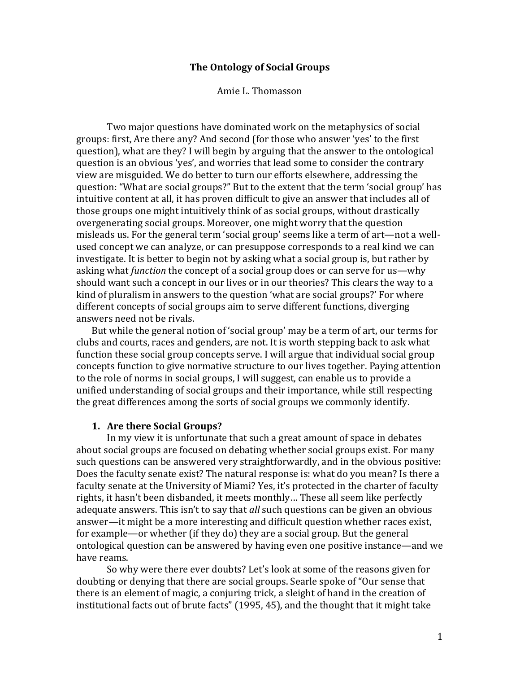### **The Ontology of Social Groups**

Amie L. Thomasson

Two major questions have dominated work on the metaphysics of social groups: first, Are there any? And second (for those who answer 'yes' to the first question), what are they? I will begin by arguing that the answer to the ontological question is an obvious 'yes', and worries that lead some to consider the contrary view are misguided. We do better to turn our efforts elsewhere, addressing the question: "What are social groups?" But to the extent that the term 'social group' has intuitive content at all, it has proven difficult to give an answer that includes all of those groups one might intuitively think of as social groups, without drastically overgenerating social groups. Moreover, one might worry that the question misleads us. For the general term 'social group' seems like a term of art—not a wellused concept we can analyze, or can presuppose corresponds to a real kind we can investigate. It is better to begin not by asking what a social group is, but rather by asking what *function* the concept of a social group does or can serve for us—why should want such a concept in our lives or in our theories? This clears the way to a kind of pluralism in answers to the question 'what are social groups?' For where different concepts of social groups aim to serve different functions, diverging answers need not be rivals.

But while the general notion of 'social group' may be a term of art, our terms for clubs and courts, races and genders, are not. It is worth stepping back to ask what function these social group concepts serve. I will argue that individual social group concepts function to give normative structure to our lives together. Paying attention to the role of norms in social groups, I will suggest, can enable us to provide a unified understanding of social groups and their importance, while still respecting the great differences among the sorts of social groups we commonly identify.

### **1.** Are there Social Groups?

In my view it is unfortunate that such a great amount of space in debates about social groups are focused on debating whether social groups exist. For many such questions can be answered very straightforwardly, and in the obvious positive: Does the faculty senate exist? The natural response is: what do you mean? Is there a faculty senate at the University of Miami? Yes, it's protected in the charter of faculty rights, it hasn't been disbanded, it meets monthly... These all seem like perfectly adequate answers. This isn't to say that *all* such questions can be given an obvious answer—it might be a more interesting and difficult question whether races exist, for example—or whether (if they do) they are a social group. But the general ontological question can be answered by having even one positive instance—and we have reams.

So why were there ever doubts? Let's look at some of the reasons given for doubting or denying that there are social groups. Searle spoke of "Our sense that there is an element of magic, a conjuring trick, a sleight of hand in the creation of institutional facts out of brute facts"  $(1995, 45)$ , and the thought that it might take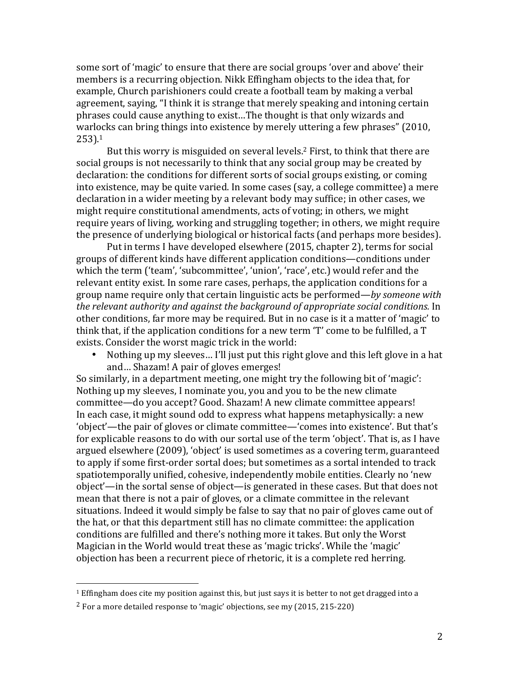some sort of 'magic' to ensure that there are social groups 'over and above' their members is a recurring objection. Nikk Effingham objects to the idea that, for example, Church parishioners could create a football team by making a verbal agreement, saying, "I think it is strange that merely speaking and intoning certain phrases could cause anything to exist...The thought is that only wizards and warlocks can bring things into existence by merely uttering a few phrases"  $(2010, 100)$ 253).1

But this worry is misguided on several levels.<sup>2</sup> First, to think that there are social groups is not necessarily to think that any social group may be created by declaration: the conditions for different sorts of social groups existing, or coming into existence, may be quite varied. In some cases (say, a college committee) a mere declaration in a wider meeting by a relevant body may suffice; in other cases, we might require constitutional amendments, acts of voting; in others, we might require years of living, working and struggling together; in others, we might require the presence of underlying biological or historical facts (and perhaps more besides).

Put in terms I have developed elsewhere (2015, chapter 2), terms for social groups of different kinds have different application conditions—conditions under which the term ('team', 'subcommittee', 'union', 'race', etc.) would refer and the relevant entity exist. In some rare cases, perhaps, the application conditions for a group name require only that certain linguistic acts be performed—*by someone* with the relevant authority and against the background of appropriate social conditions. In other conditions, far more may be required. But in no case is it a matter of 'magic' to think that, if the application conditions for a new term 'T' come to be fulfilled, a T exists. Consider the worst magic trick in the world:

• Nothing up my sleeves... I'll just put this right glove and this left glove in a hat and... Shazam! A pair of gloves emerges!

So similarly, in a department meeting, one might try the following bit of 'magic': Nothing up my sleeves, I nominate you, you and you to be the new climate committee—do you accept? Good. Shazam! A new climate committee appears! In each case, it might sound odd to express what happens metaphysically: a new 'object'—the pair of gloves or climate committee—'comes into existence'. But that's for explicable reasons to do with our sortal use of the term 'object'. That is, as I have argued elsewhere (2009), 'object' is used sometimes as a covering term, guaranteed to apply if some first-order sortal does; but sometimes as a sortal intended to track spatiotemporally unified, cohesive, independently mobile entities. Clearly no 'new object'—in the sortal sense of object—is generated in these cases. But that does not mean that there is not a pair of gloves, or a climate committee in the relevant situations. Indeed it would simply be false to say that no pair of gloves came out of the hat, or that this department still has no climate committee: the application conditions are fulfilled and there's nothing more it takes. But only the Worst Magician in the World would treat these as 'magic tricks'. While the 'magic' objection has been a recurrent piece of rhetoric, it is a complete red herring.

 $1$  Effingham does cite my position against this, but just says it is better to not get dragged into a

 $2$  For a more detailed response to 'magic' objections, see my (2015, 215-220)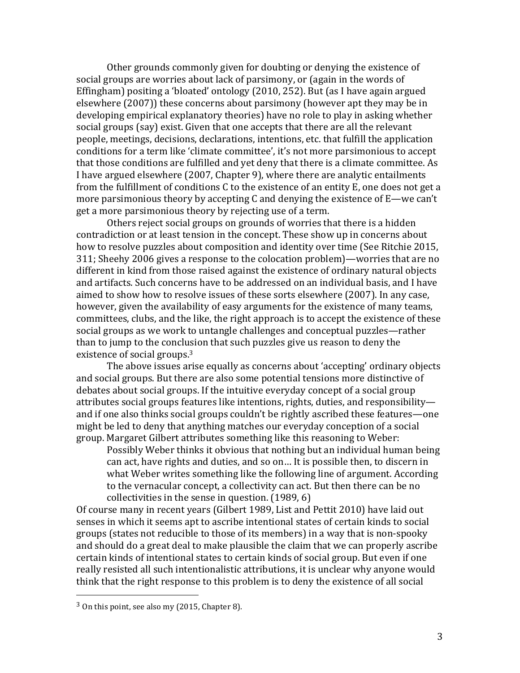Other grounds commonly given for doubting or denying the existence of social groups are worries about lack of parsimony, or (again in the words of Effingham) positing a 'bloated' ontology  $(2010, 252)$ . But  $(as I have again argued$ elsewhere (2007)) these concerns about parsimony (however apt they may be in developing empirical explanatory theories) have no role to play in asking whether social groups (say) exist. Given that one accepts that there are all the relevant people, meetings, decisions, declarations, intentions, etc. that fulfill the application conditions for a term like 'climate committee', it's not more parsimonious to accept that those conditions are fulfilled and yet deny that there is a climate committee. As I have argued elsewhere (2007, Chapter 9), where there are analytic entailments from the fulfillment of conditions  $C$  to the existence of an entity  $E$ , one does not get a more parsimonious theory by accepting  $C$  and denying the existence of  $E$ —we can't get a more parsimonious theory by rejecting use of a term.

Others reject social groups on grounds of worries that there is a hidden contradiction or at least tension in the concept. These show up in concerns about how to resolve puzzles about composition and identity over time (See Ritchie 2015, 311; Sheehy 2006 gives a response to the colocation problem)—worries that are no different in kind from those raised against the existence of ordinary natural objects and artifacts. Such concerns have to be addressed on an individual basis, and I have aimed to show how to resolve issues of these sorts elsewhere (2007). In any case, however, given the availability of easy arguments for the existence of many teams, committees, clubs, and the like, the right approach is to accept the existence of these social groups as we work to untangle challenges and conceptual puzzles—rather than to jump to the conclusion that such puzzles give us reason to deny the existence of social groups. $3$ 

The above issues arise equally as concerns about 'accepting' ordinary objects and social groups. But there are also some potential tensions more distinctive of debates about social groups. If the intuitive everyday concept of a social group attributes social groups features like intentions, rights, duties, and responsibility and if one also thinks social groups couldn't be rightly ascribed these features—one might be led to deny that anything matches our everyday conception of a social group. Margaret Gilbert attributes something like this reasoning to Weber:

Possibly Weber thinks it obvious that nothing but an individual human being can act, have rights and duties, and so on... It is possible then, to discern in what Weber writes something like the following line of argument. According to the vernacular concept, a collectivity can act. But then there can be no collectivities in the sense in question.  $(1989, 6)$ 

Of course many in recent years (Gilbert 1989, List and Pettit 2010) have laid out senses in which it seems apt to ascribe intentional states of certain kinds to social groups (states not reducible to those of its members) in a way that is non-spooky and should do a great deal to make plausible the claim that we can properly ascribe certain kinds of intentional states to certain kinds of social group. But even if one really resisted all such intentionalistic attributions, it is unclear why anyone would think that the right response to this problem is to deny the existence of all social

 $3$  On this point, see also my (2015, Chapter 8).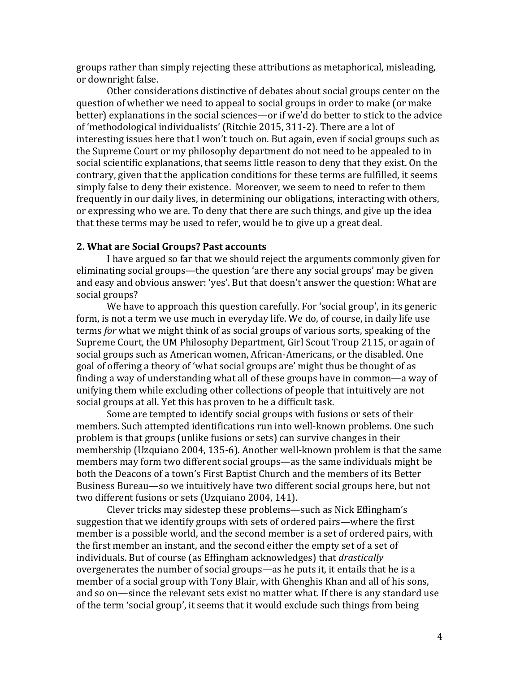groups rather than simply rejecting these attributions as metaphorical, misleading, or downright false.

Other considerations distinctive of debates about social groups center on the question of whether we need to appeal to social groups in order to make (or make better) explanations in the social sciences—or if we'd do better to stick to the advice of 'methodological individualists' (Ritchie 2015, 311-2). There are a lot of interesting issues here that I won't touch on. But again, even if social groups such as the Supreme Court or my philosophy department do not need to be appealed to in social scientific explanations, that seems little reason to deny that they exist. On the contrary, given that the application conditions for these terms are fulfilled, it seems simply false to deny their existence. Moreover, we seem to need to refer to them frequently in our daily lives, in determining our obligations, interacting with others, or expressing who we are. To deny that there are such things, and give up the idea that these terms may be used to refer, would be to give up a great deal.

#### **2. What are Social Groups? Past accounts**

I have argued so far that we should reject the arguments commonly given for eliminating social groups—the question 'are there any social groups' may be given and easy and obvious answer: 'yes'. But that doesn't answer the question: What are social groups?

We have to approach this question carefully. For 'social group', in its generic form, is not a term we use much in everyday life. We do, of course, in daily life use terms *for* what we might think of as social groups of various sorts, speaking of the Supreme Court, the UM Philosophy Department, Girl Scout Troup 2115, or again of social groups such as American women, African-Americans, or the disabled. One goal of offering a theory of 'what social groups are' might thus be thought of as finding a way of understanding what all of these groups have in common—a way of unifying them while excluding other collections of people that intuitively are not social groups at all. Yet this has proven to be a difficult task.

Some are tempted to identify social groups with fusions or sets of their members. Such attempted identifications run into well-known problems. One such problem is that groups (unlike fusions or sets) can survive changes in their membership (Uzquiano 2004, 135-6). Another well-known problem is that the same members may form two different social groups—as the same individuals might be both the Deacons of a town's First Baptist Church and the members of its Better Business Bureau—so we intuitively have two different social groups here, but not two different fusions or sets (Uzquiano 2004, 141).

Clever tricks may sidestep these problems—such as Nick Effingham's suggestion that we identify groups with sets of ordered pairs—where the first member is a possible world, and the second member is a set of ordered pairs, with the first member an instant, and the second either the empty set of a set of individuals. But of course (as Effingham acknowledges) that *drastically* overgenerates the number of social groups—as he puts it, it entails that he is a member of a social group with Tony Blair, with Ghenghis Khan and all of his sons, and so on—since the relevant sets exist no matter what. If there is any standard use of the term 'social group', it seems that it would exclude such things from being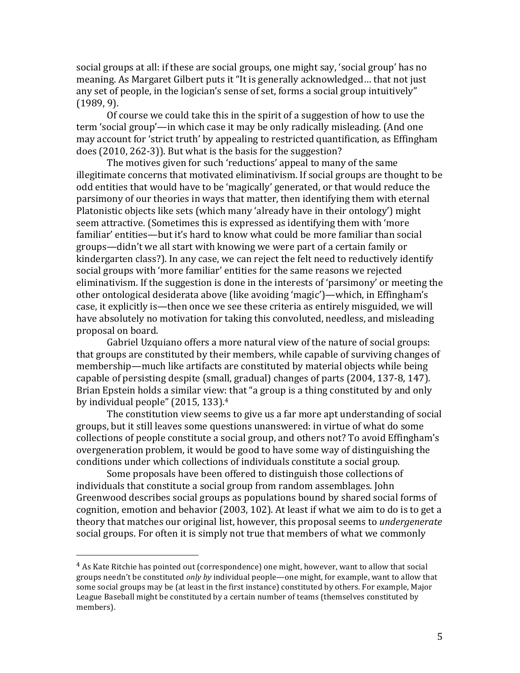social groups at all: if these are social groups, one might say, 'social group' has no meaning. As Margaret Gilbert puts it "It is generally acknowledged... that not just any set of people, in the logician's sense of set, forms a social group intuitively"  $(1989, 9)$ .

Of course we could take this in the spirit of a suggestion of how to use the term 'social group'—in which case it may be only radically misleading. (And one may account for 'strict truth' by appealing to restricted quantification, as Effingham does  $(2010, 262-3)$ . But what is the basis for the suggestion?

The motives given for such 'reductions' appeal to many of the same illegitimate concerns that motivated eliminativism. If social groups are thought to be odd entities that would have to be 'magically' generated, or that would reduce the parsimony of our theories in ways that matter, then identifying them with eternal Platonistic objects like sets (which many 'already have in their ontology') might seem attractive. (Sometimes this is expressed as identifying them with 'more familiar' entities—but it's hard to know what could be more familiar than social groups—didn't we all start with knowing we were part of a certain family or kindergarten class?). In any case, we can reject the felt need to reductively identify social groups with 'more familiar' entities for the same reasons we rejected eliminativism. If the suggestion is done in the interests of 'parsimony' or meeting the other ontological desiderata above (like avoiding 'magic')—which, in Effingham's case, it explicitly is—then once we see these criteria as entirely misguided, we will have absolutely no motivation for taking this convoluted, needless, and misleading proposal on board. 

Gabriel Uzquiano offers a more natural view of the nature of social groups: that groups are constituted by their members, while capable of surviving changes of membership—much like artifacts are constituted by material objects while being capable of persisting despite (small, gradual) changes of parts (2004, 137-8, 147). Brian Epstein holds a similar view: that "a group is a thing constituted by and only by individual people"  $(2015, 133).4$ 

The constitution view seems to give us a far more apt understanding of social groups, but it still leaves some questions unanswered: in virtue of what do some collections of people constitute a social group, and others not? To avoid Effingham's overgeneration problem, it would be good to have some way of distinguishing the conditions under which collections of individuals constitute a social group.

Some proposals have been offered to distinguish those collections of individuals that constitute a social group from random assemblages. John Greenwood describes social groups as populations bound by shared social forms of cognition, emotion and behavior  $(2003, 102)$ . At least if what we aim to do is to get a theory that matches our original list, however, this proposal seems to *undergenerate* social groups. For often it is simply not true that members of what we commonly

 $4$  As Kate Ritchie has pointed out (correspondence) one might, however, want to allow that social groups needn't be constituted *only by* individual people—one might, for example, want to allow that some social groups may be (at least in the first instance) constituted by others. For example, Major League Baseball might be constituted by a certain number of teams (themselves constituted by members).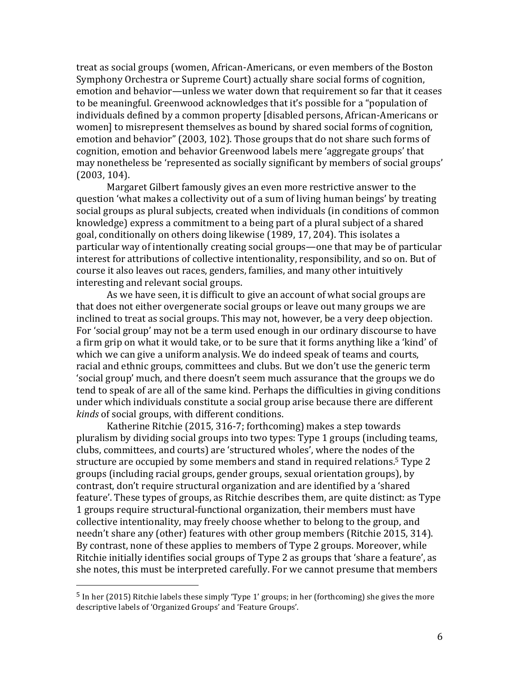treat as social groups (women, African-Americans, or even members of the Boston Symphony Orchestra or Supreme Court) actually share social forms of cognition, emotion and behavior—unless we water down that requirement so far that it ceases to be meaningful. Greenwood acknowledges that it's possible for a "population of individuals defined by a common property [disabled persons, African-Americans or women] to misrepresent themselves as bound by shared social forms of cognition, emotion and behavior" (2003, 102). Those groups that do not share such forms of cognition, emotion and behavior Greenwood labels mere 'aggregate groups' that may nonetheless be 'represented as socially significant by members of social groups'  $(2003, 104)$ .

Margaret Gilbert famously gives an even more restrictive answer to the question 'what makes a collectivity out of a sum of living human beings' by treating social groups as plural subjects, created when individuals (in conditions of common knowledge) express a commitment to a being part of a plural subject of a shared goal, conditionally on others doing likewise (1989, 17, 204). This isolates a particular way of intentionally creating social groups—one that may be of particular interest for attributions of collective intentionality, responsibility, and so on. But of course it also leaves out races, genders, families, and many other intuitively interesting and relevant social groups.

As we have seen, it is difficult to give an account of what social groups are that does not either overgenerate social groups or leave out many groups we are inclined to treat as social groups. This may not, however, be a very deep objection. For 'social group' may not be a term used enough in our ordinary discourse to have a firm grip on what it would take, or to be sure that it forms anything like a 'kind' of which we can give a uniform analysis. We do indeed speak of teams and courts, racial and ethnic groups, committees and clubs. But we don't use the generic term 'social group' much, and there doesn't seem much assurance that the groups we do tend to speak of are all of the same kind. Perhaps the difficulties in giving conditions under which individuals constitute a social group arise because there are different *kinds* of social groups, with different conditions.

Katherine Ritchie  $(2015, 316-7;$  forthcoming) makes a step towards pluralism by dividing social groups into two types: Type 1 groups (including teams, clubs, committees, and courts) are 'structured wholes', where the nodes of the structure are occupied by some members and stand in required relations.<sup>5</sup> Type 2 groups (including racial groups, gender groups, sexual orientation groups), by contrast, don't require structural organization and are identified by a 'shared feature'. These types of groups, as Ritchie describes them, are quite distinct: as Type 1 groups require structural-functional organization, their members must have collective intentionality, may freely choose whether to belong to the group, and needn't share any (other) features with other group members (Ritchie 2015, 314). By contrast, none of these applies to members of Type 2 groups. Moreover, while Ritchie initially identifies social groups of Type 2 as groups that 'share a feature', as she notes, this must be interpreted carefully. For we cannot presume that members

 $<sup>5</sup>$  In her (2015) Ritchie labels these simply 'Type 1' groups; in her (forthcoming) she gives the more</sup> descriptive labels of 'Organized Groups' and 'Feature Groups'.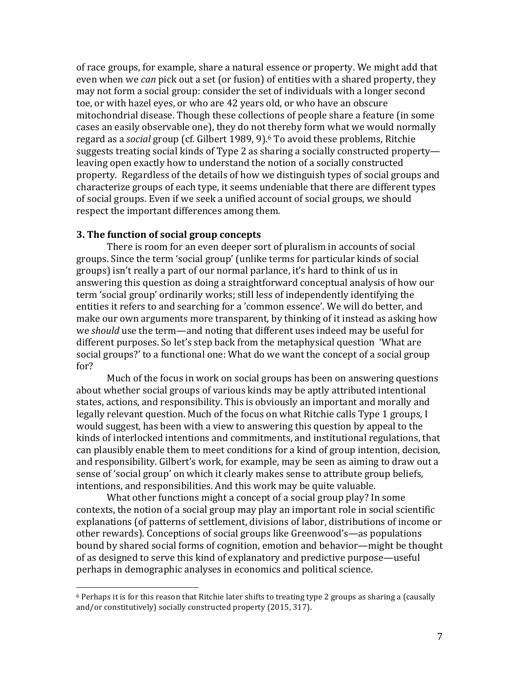of race groups, for example, share a natural essence or property. We might add that even when we *can* pick out a set (or fusion) of entities with a shared property, they may not form a social group: consider the set of individuals with a longer second toe, or with hazel eyes, or who are 42 years old, or who have an obscure mitochondrial disease. Though these collections of people share a feature (in some cases an easily observable one), they do not thereby form what we would normally regard as a *social* group (cf. Gilbert 1989, 9).<sup>6</sup> To avoid these problems, Ritchie suggests treating social kinds of Type 2 as sharing a socially constructed property leaving open exactly how to understand the notion of a socially constructed property. Regardless of the details of how we distinguish types of social groups and characterize groups of each type, it seems undeniable that there are different types of social groups. Even if we seek a unified account of social groups, we should respect the important differences among them.

## **3.** The function of social group concepts

 

There is room for an even deeper sort of pluralism in accounts of social groups. Since the term 'social group' (unlike terms for particular kinds of social groups) isn't really a part of our normal parlance, it's hard to think of us in answering this question as doing a straightforward conceptual analysis of how our term 'social group' ordinarily works; still less of independently identifying the entities it refers to and searching for a 'common essence'. We will do better, and make our own arguments more transparent, by thinking of it instead as asking how we *should* use the term—and noting that different uses indeed may be useful for different purposes. So let's step back from the metaphysical question 'What are social groups?' to a functional one: What do we want the concept of a social group for?

Much of the focus in work on social groups has been on answering questions about whether social groups of various kinds may be aptly attributed intentional states, actions, and responsibility. This is obviously an important and morally and legally relevant question. Much of the focus on what Ritchie calls Type 1 groups, I would suggest, has been with a view to answering this question by appeal to the kinds of interlocked intentions and commitments, and institutional regulations, that can plausibly enable them to meet conditions for a kind of group intention, decision, and responsibility. Gilbert's work, for example, may be seen as aiming to draw out a sense of 'social group' on which it clearly makes sense to attribute group beliefs, intentions, and responsibilities. And this work may be quite valuable.

What other functions might a concept of a social group play? In some contexts, the notion of a social group may play an important role in social scientific explanations (of patterns of settlement, divisions of labor, distributions of income or other rewards). Conceptions of social groups like Greenwood's—as populations bound by shared social forms of cognition, emotion and behavior—might be thought of as designed to serve this kind of explanatory and predictive purpose—useful perhaps in demographic analyses in economics and political science.

 $6$  Perhaps it is for this reason that Ritchie later shifts to treating type 2 groups as sharing a (causally and/or constitutively) socially constructed property (2015, 317).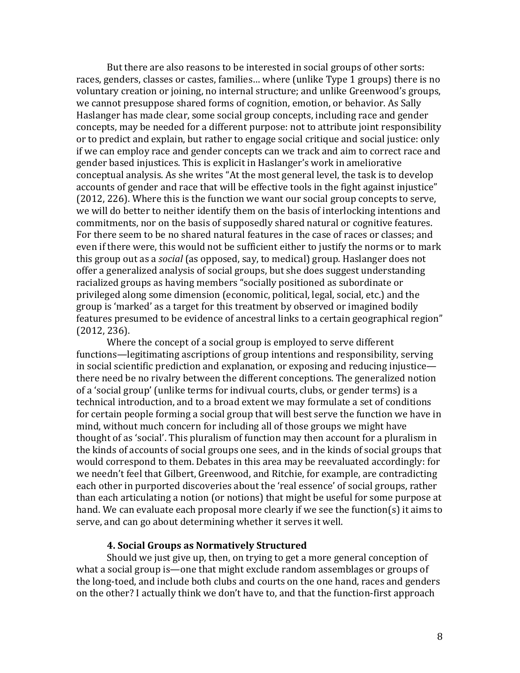But there are also reasons to be interested in social groups of other sorts: races, genders, classes or castes, families... where (unlike Type 1 groups) there is no voluntary creation or joining, no internal structure; and unlike Greenwood's groups, we cannot presuppose shared forms of cognition, emotion, or behavior. As Sally Haslanger has made clear, some social group concepts, including race and gender concepts, may be needed for a different purpose; not to attribute joint responsibility or to predict and explain, but rather to engage social critique and social justice: only if we can employ race and gender concepts can we track and aim to correct race and gender based injustices. This is explicit in Haslanger's work in ameliorative conceptual analysis. As she writes "At the most general level, the task is to develop accounts of gender and race that will be effective tools in the fight against injustice"  $(2012, 226)$ . Where this is the function we want our social group concepts to serve, we will do better to neither identify them on the basis of interlocking intentions and commitments, nor on the basis of supposedly shared natural or cognitive features. For there seem to be no shared natural features in the case of races or classes; and even if there were, this would not be sufficient either to justify the norms or to mark this group out as a *social* (as opposed, say, to medical) group. Haslanger does not offer a generalized analysis of social groups, but she does suggest understanding racialized groups as having members "socially positioned as subordinate or privileged along some dimension (economic, political, legal, social, etc.) and the group is 'marked' as a target for this treatment by observed or imagined bodily features presumed to be evidence of ancestral links to a certain geographical region"  $(2012, 236)$ .

Where the concept of a social group is employed to serve different functions—legitimating ascriptions of group intentions and responsibility, serving in social scientific prediction and explanation, or exposing and reducing injustice there need be no rivalry between the different conceptions. The generalized notion of a 'social group' (unlike terms for indivual courts, clubs, or gender terms) is a technical introduction, and to a broad extent we may formulate a set of conditions for certain people forming a social group that will best serve the function we have in mind, without much concern for including all of those groups we might have thought of as 'social'. This pluralism of function may then account for a pluralism in the kinds of accounts of social groups one sees, and in the kinds of social groups that would correspond to them. Debates in this area may be reevaluated accordingly: for we needn't feel that Gilbert, Greenwood, and Ritchie, for example, are contradicting each other in purported discoveries about the 'real essence' of social groups, rather than each articulating a notion (or notions) that might be useful for some purpose at hand. We can evaluate each proposal more clearly if we see the function(s) it aims to serve, and can go about determining whether it serves it well.

#### **4. Social Groups as Normatively Structured**

Should we just give up, then, on trying to get a more general conception of what a social group is—one that might exclude random assemblages or groups of the long-toed, and include both clubs and courts on the one hand, races and genders on the other? I actually think we don't have to, and that the function-first approach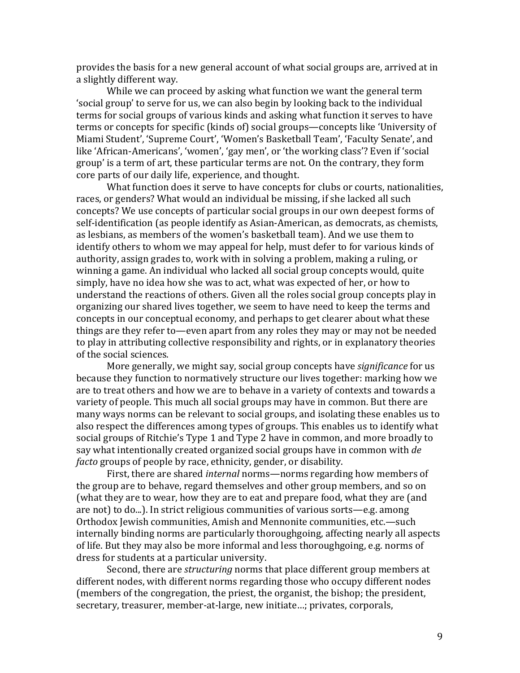provides the basis for a new general account of what social groups are, arrived at in a slightly different way.

While we can proceed by asking what function we want the general term 'social group' to serve for us, we can also begin by looking back to the individual terms for social groups of various kinds and asking what function it serves to have terms or concepts for specific (kinds of) social groups—concepts like 'University of Miami Student', 'Supreme Court', 'Women's Basketball Team', 'Faculty Senate', and like 'African-Americans', 'women', 'gay men', or 'the working class'? Even if 'social group' is a term of art, these particular terms are not. On the contrary, they form core parts of our daily life, experience, and thought.

What function does it serve to have concepts for clubs or courts, nationalities, races, or genders? What would an individual be missing, if she lacked all such concepts? We use concepts of particular social groups in our own deepest forms of self-identification (as people identify as Asian-American, as democrats, as chemists, as lesbians, as members of the women's basketball team). And we use them to identify others to whom we may appeal for help, must defer to for various kinds of authority, assign grades to, work with in solving a problem, making a ruling, or winning a game. An individual who lacked all social group concepts would, quite simply, have no idea how she was to act, what was expected of her, or how to understand the reactions of others. Given all the roles social group concepts play in organizing our shared lives together, we seem to have need to keep the terms and concepts in our conceptual economy, and perhaps to get clearer about what these things are they refer to—even apart from any roles they may or may not be needed to play in attributing collective responsibility and rights, or in explanatory theories of the social sciences.

More generally, we might say, social group concepts have *significance* for us because they function to normatively structure our lives together: marking how we are to treat others and how we are to behave in a variety of contexts and towards a variety of people. This much all social groups may have in common. But there are many ways norms can be relevant to social groups, and isolating these enables us to also respect the differences among types of groups. This enables us to identify what social groups of Ritchie's Type 1 and Type 2 have in common, and more broadly to say what intentionally created organized social groups have in common with *de facto* groups of people by race, ethnicity, gender, or disability.

First, there are shared *internal* norms—norms regarding how members of the group are to behave, regard themselves and other group members, and so on (what they are to wear, how they are to eat and prepare food, what they are (and are not) to do...). In strict religious communities of various sorts—e.g. among Orthodox Jewish communities, Amish and Mennonite communities, etc.-such internally binding norms are particularly thoroughgoing, affecting nearly all aspects of life. But they may also be more informal and less thoroughgoing, e.g. norms of dress for students at a particular university.

Second, there are *structuring* norms that place different group members at different nodes, with different norms regarding those who occupy different nodes (members of the congregation, the priest, the organist, the bishop; the president, secretary, treasurer, member-at-large, new initiate...; privates, corporals,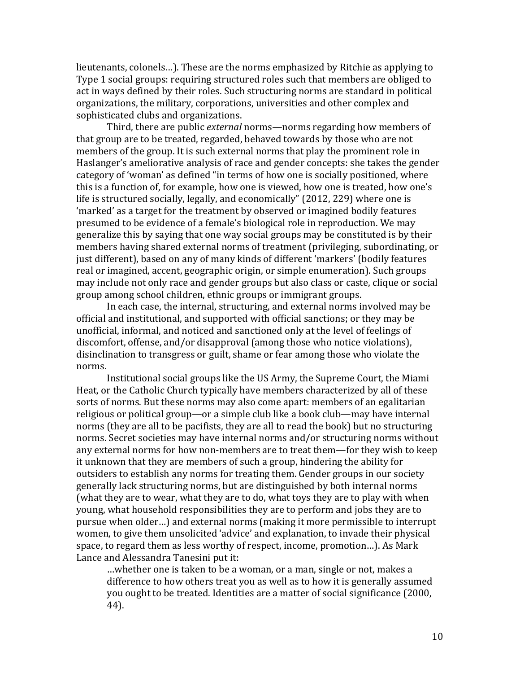lieutenants, colonels...). These are the norms emphasized by Ritchie as applying to Type 1 social groups: requiring structured roles such that members are obliged to act in ways defined by their roles. Such structuring norms are standard in political organizations, the military, corporations, universities and other complex and sophisticated clubs and organizations.

Third, there are public *external* norms—norms regarding how members of that group are to be treated, regarded, behaved towards by those who are not members of the group. It is such external norms that play the prominent role in Haslanger's ameliorative analysis of race and gender concepts: she takes the gender category of 'woman' as defined "in terms of how one is socially positioned, where this is a function of, for example, how one is viewed, how one is treated, how one's life is structured socially, legally, and economically"  $(2012, 229)$  where one is 'marked' as a target for the treatment by observed or imagined bodily features presumed to be evidence of a female's biological role in reproduction. We may generalize this by saying that one way social groups may be constituted is by their members having shared external norms of treatment (privileging, subordinating, or just different), based on any of many kinds of different 'markers' (bodily features real or imagined, accent, geographic origin, or simple enumeration). Such groups may include not only race and gender groups but also class or caste, clique or social group among school children, ethnic groups or immigrant groups.

In each case, the internal, structuring, and external norms involved may be official and institutional, and supported with official sanctions; or they may be unofficial, informal, and noticed and sanctioned only at the level of feelings of discomfort, offense, and/or disapproval (among those who notice violations), disinclination to transgress or guilt, shame or fear among those who violate the norms. 

Institutional social groups like the US Army, the Supreme Court, the Miami Heat, or the Catholic Church typically have members characterized by all of these sorts of norms. But these norms may also come apart: members of an egalitarian religious or political group—or a simple club like a book club—may have internal norms (they are all to be pacifists, they are all to read the book) but no structuring norms. Secret societies may have internal norms and/or structuring norms without any external norms for how non-members are to treat them—for they wish to keep it unknown that they are members of such a group, hindering the ability for outsiders to establish any norms for treating them. Gender groups in our society generally lack structuring norms, but are distinguished by both internal norms (what they are to wear, what they are to do, what toys they are to play with when young, what household responsibilities they are to perform and jobs they are to pursue when older...) and external norms (making it more permissible to interrupt women, to give them unsolicited 'advice' and explanation, to invade their physical space, to regard them as less worthy of respect, income, promotion...). As Mark Lance and Alessandra Tanesini put it:

...whether one is taken to be a woman, or a man, single or not, makes a difference to how others treat you as well as to how it is generally assumed you ought to be treated. Identities are a matter of social significance (2000, 44).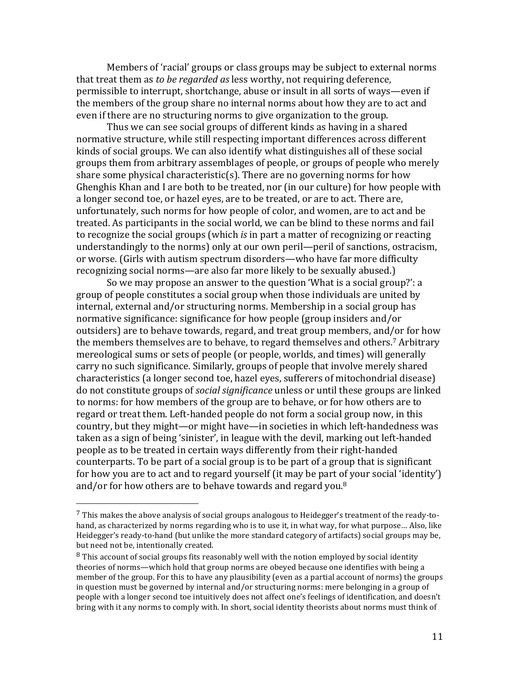Members of 'racial' groups or class groups may be subject to external norms that treat them as *to be regarded as* less worthy, not requiring deference, permissible to interrupt, shortchange, abuse or insult in all sorts of ways—even if the members of the group share no internal norms about how they are to act and even if there are no structuring norms to give organization to the group.

Thus we can see social groups of different kinds as having in a shared normative structure, while still respecting important differences across different kinds of social groups. We can also identify what distinguishes all of these social groups them from arbitrary assemblages of people, or groups of people who merely share some physical characteristic(s). There are no governing norms for how Ghenghis Khan and I are both to be treated, nor (in our culture) for how people with a longer second toe, or hazel eves, are to be treated, or are to act. There are, unfortunately, such norms for how people of color, and women, are to act and be treated. As participants in the social world, we can be blind to these norms and fail to recognize the social groups (which *is* in part a matter of recognizing or reacting understandingly to the norms) only at our own peril—peril of sanctions, ostracism, or worse. (Girls with autism spectrum disorders—who have far more difficulty recognizing social norms—are also far more likely to be sexually abused.)

So we may propose an answer to the question 'What is a social group?': a group of people constitutes a social group when those individuals are united by internal, external and/or structuring norms. Membership in a social group has normative significance: significance for how people (group insiders and/or outsiders) are to behave towards, regard, and treat group members, and/or for how the members themselves are to behave, to regard themselves and others.<sup>7</sup> Arbitrary mereological sums or sets of people (or people, worlds, and times) will generally carry no such significance. Similarly, groups of people that involve merely shared characteristics (a longer second toe, hazel eyes, sufferers of mitochondrial disease) do not constitute groups of *social significance* unless or until these groups are linked to norms: for how members of the group are to behave, or for how others are to regard or treat them. Left-handed people do not form a social group now, in this country, but they might—or might have—in societies in which left-handedness was taken as a sign of being 'sinister', in league with the devil, marking out left-handed people as to be treated in certain ways differently from their right-handed counterparts. To be part of a social group is to be part of a group that is significant for how you are to act and to regard yourself (it may be part of your social 'identity') and/or for how others are to behave towards and regard you. $8$ 

 $7$  This makes the above analysis of social groups analogous to Heidegger's treatment of the ready-tohand, as characterized by norms regarding who is to use it, in what way, for what purpose... Also, like Heidegger's ready-to-hand (but unlike the more standard category of artifacts) social groups may be, but need not be, intentionally created.

 $8$  This account of social groups fits reasonably well with the notion employed by social identity theories of norms—which hold that group norms are obeyed because one identifies with being a member of the group. For this to have any plausibility (even as a partial account of norms) the groups in question must be governed by internal and/or structuring norms: mere belonging in a group of people with a longer second toe intuitively does not affect one's feelings of identification, and doesn't bring with it any norms to comply with. In short, social identity theorists about norms must think of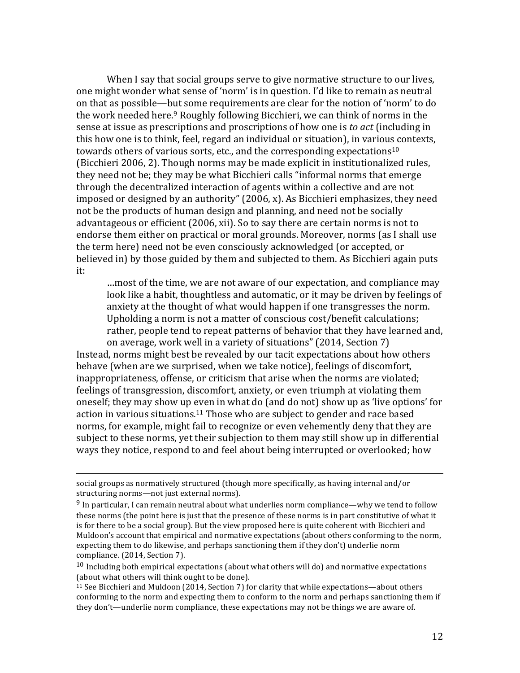When I say that social groups serve to give normative structure to our lives, one might wonder what sense of 'norm' is in question. I'd like to remain as neutral on that as possible—but some requirements are clear for the notion of 'norm' to do the work needed here.<sup>9</sup> Roughly following Bicchieri, we can think of norms in the sense at issue as prescriptions and proscriptions of how one is *to act* (including in this how one is to think, feel, regard an individual or situation), in various contexts, towards others of various sorts, etc., and the corresponding expectations<sup>10</sup> (Bicchieri 2006, 2). Though norms may be made explicit in institutionalized rules, they need not be; they may be what Bicchieri calls "informal norms that emerge through the decentralized interaction of agents within a collective and are not imposed or designed by an authority"  $(2006, x)$ . As Bicchieri emphasizes, they need not be the products of human design and planning, and need not be socially advantageous or efficient (2006, xii). So to say there are certain norms is not to endorse them either on practical or moral grounds. Moreover, norms (as I shall use the term here) need not be even consciously acknowledged (or accepted, or believed in) by those guided by them and subjected to them. As Bicchieri again puts it: 

... most of the time, we are not aware of our expectation, and compliance may look like a habit, thoughtless and automatic, or it may be driven by feelings of anxiety at the thought of what would happen if one transgresses the norm. Upholding a norm is not a matter of conscious cost/benefit calculations; rather, people tend to repeat patterns of behavior that they have learned and, on average, work well in a variety of situations" (2014, Section 7)

Instead, norms might best be revealed by our tacit expectations about how others behave (when are we surprised, when we take notice), feelings of discomfort, inappropriateness, offense, or criticism that arise when the norms are violated; feelings of transgression, discomfort, anxiety, or even triumph at violating them oneself; they may show up even in what do (and do not) show up as 'live options' for action in various situations.<sup>11</sup> Those who are subject to gender and race based norms, for example, might fail to recognize or even vehemently deny that they are subject to these norms, yet their subjection to them may still show up in differential ways they notice, respond to and feel about being interrupted or overlooked; how

<u> 1989 - Andrea Santa Andrea Andrea Andrea Andrea Andrea Andrea Andrea Andrea Andrea Andrea Andrea Andrea Andr</u>

social groups as normatively structured (though more specifically, as having internal and/or structuring norms—not just external norms).

 $9$  In particular, I can remain neutral about what underlies norm compliance—why we tend to follow these norms (the point here is just that the presence of these norms is in part constitutive of what it is for there to be a social group). But the view proposed here is quite coherent with Bicchieri and Muldoon's account that empirical and normative expectations (about others conforming to the norm, expecting them to do likewise, and perhaps sanctioning them if they don't) underlie norm compliance. (2014, Section 7).

 $10$  Including both empirical expectations (about what others will do) and normative expectations (about what others will think ought to be done).

<sup>&</sup>lt;sup>11</sup> See Bicchieri and Muldoon (2014, Section 7) for clarity that while expectations—about others conforming to the norm and expecting them to conform to the norm and perhaps sanctioning them if they don't—underlie norm compliance, these expectations may not be things we are aware of.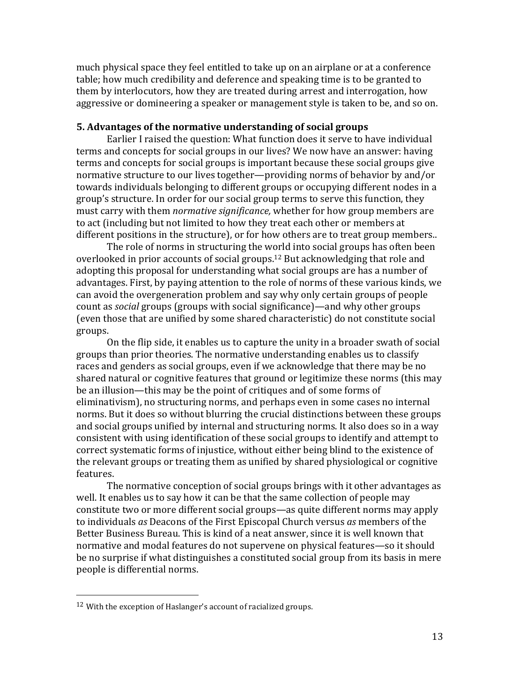much physical space they feel entitled to take up on an airplane or at a conference table; how much credibility and deference and speaking time is to be granted to them by interlocutors, how they are treated during arrest and interrogation, how aggressive or domineering a speaker or management style is taken to be, and so on.

## **5.** Advantages of the normative understanding of social groups

Earlier I raised the question: What function does it serve to have individual terms and concepts for social groups in our lives? We now have an answer: having terms and concepts for social groups is important because these social groups give normative structure to our lives together—providing norms of behavior by and/or towards individuals belonging to different groups or occupying different nodes in a group's structure. In order for our social group terms to serve this function, they must carry with them *normative significance*, whether for how group members are to act (including but not limited to how they treat each other or members at different positions in the structure), or for how others are to treat group members..

The role of norms in structuring the world into social groups has often been overlooked in prior accounts of social groups.<sup>12</sup> But acknowledging that role and adopting this proposal for understanding what social groups are has a number of advantages. First, by paying attention to the role of norms of these various kinds, we can avoid the overgeneration problem and say why only certain groups of people count as *social* groups (groups with social significance)—and why other groups (even those that are unified by some shared characteristic) do not constitute social groups. 

On the flip side, it enables us to capture the unity in a broader swath of social groups than prior theories. The normative understanding enables us to classify races and genders as social groups, even if we acknowledge that there may be no shared natural or cognitive features that ground or legitimize these norms (this may be an illusion—this may be the point of critiques and of some forms of eliminativism), no structuring norms, and perhaps even in some cases no internal norms. But it does so without blurring the crucial distinctions between these groups and social groups unified by internal and structuring norms. It also does so in a way consistent with using identification of these social groups to identify and attempt to correct systematic forms of injustice, without either being blind to the existence of the relevant groups or treating them as unified by shared physiological or cognitive features. 

The normative conception of social groups brings with it other advantages as well. It enables us to say how it can be that the same collection of people may constitute two or more different social groups—as quite different norms may apply to individuals *as* Deacons of the First Episcopal Church versus *as* members of the Better Business Bureau. This is kind of a neat answer, since it is well known that normative and modal features do not supervene on physical features—so it should be no surprise if what distinguishes a constituted social group from its basis in mere people is differential norms.

 $12$  With the exception of Haslanger's account of racialized groups.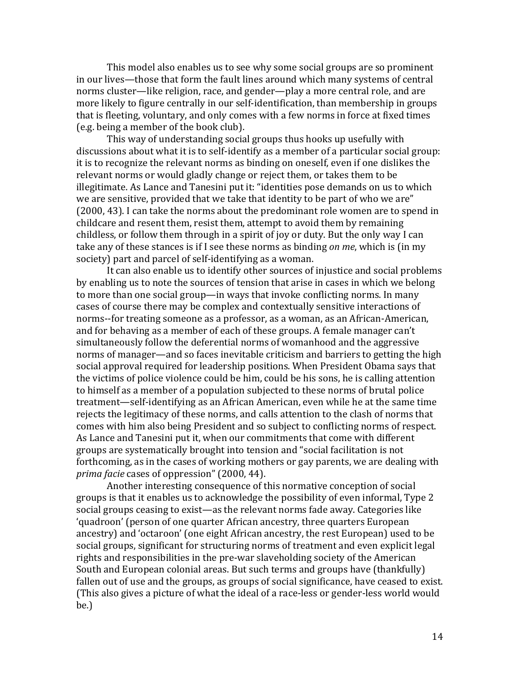This model also enables us to see why some social groups are so prominent in our lives—those that form the fault lines around which many systems of central norms cluster—like religion, race, and gender—play a more central role, and are more likely to figure centrally in our self-identification, than membership in groups that is fleeting, voluntary, and only comes with a few norms in force at fixed times (e.g. being a member of the book club).

This way of understanding social groups thus hooks up usefully with discussions about what it is to self-identify as a member of a particular social group: it is to recognize the relevant norms as binding on oneself, even if one dislikes the relevant norms or would gladly change or reject them, or takes them to be illegitimate. As Lance and Tanesini put it: "identities pose demands on us to which we are sensitive, provided that we take that identity to be part of who we are" (2000, 43). I can take the norms about the predominant role women are to spend in childcare and resent them, resist them, attempt to avoid them by remaining childless, or follow them through in a spirit of joy or duty. But the only way I can take any of these stances is if I see these norms as binding *on me*, which is (in my society) part and parcel of self-identifying as a woman.

It can also enable us to identify other sources of injustice and social problems by enabling us to note the sources of tension that arise in cases in which we belong to more than one social group—in ways that invoke conflicting norms. In many cases of course there may be complex and contextually sensitive interactions of norms--for treating someone as a professor, as a woman, as an African-American, and for behaving as a member of each of these groups. A female manager can't simultaneously follow the deferential norms of womanhood and the aggressive norms of manager—and so faces inevitable criticism and barriers to getting the high social approval required for leadership positions. When President Obama says that the victims of police violence could be him, could be his sons, he is calling attention to himself as a member of a population subjected to these norms of brutal police treatment—self-identifying as an African American, even while he at the same time rejects the legitimacy of these norms, and calls attention to the clash of norms that comes with him also being President and so subject to conflicting norms of respect. As Lance and Tanesini put it, when our commitments that come with different groups are systematically brought into tension and "social facilitation is not forthcoming, as in the cases of working mothers or gay parents, we are dealing with prima facie cases of oppression" (2000, 44).

Another interesting consequence of this normative conception of social groups is that it enables us to acknowledge the possibility of even informal, Type 2 social groups ceasing to exist—as the relevant norms fade away. Categories like 'quadroon' (person of one quarter African ancestry, three quarters European ancestry) and 'octaroon' (one eight African ancestry, the rest European) used to be social groups, significant for structuring norms of treatment and even explicit legal rights and responsibilities in the pre-war slaveholding society of the American South and European colonial areas. But such terms and groups have (thankfully) fallen out of use and the groups, as groups of social significance, have ceased to exist. (This also gives a picture of what the ideal of a race-less or gender-less world would be.)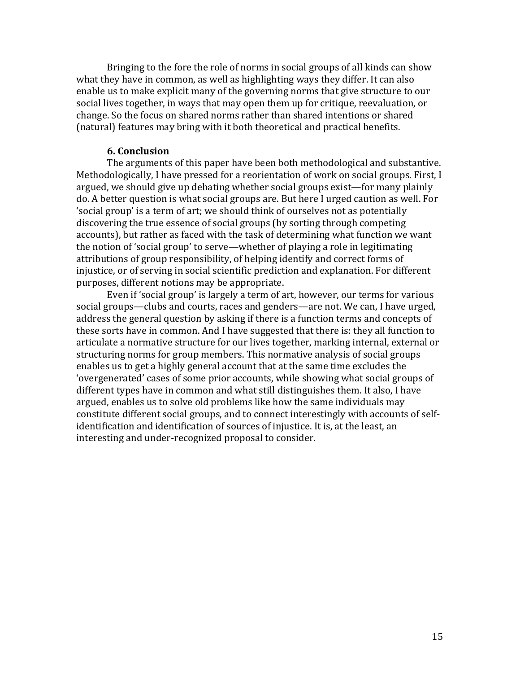Bringing to the fore the role of norms in social groups of all kinds can show what they have in common, as well as highlighting ways they differ. It can also enable us to make explicit many of the governing norms that give structure to our social lives together, in ways that may open them up for critique, reevaluation, or change. So the focus on shared norms rather than shared intentions or shared (natural) features may bring with it both theoretical and practical benefits.

#### **6. Conclusion**

The arguments of this paper have been both methodological and substantive. Methodologically, I have pressed for a reorientation of work on social groups. First, I argued, we should give up debating whether social groups exist—for many plainly do. A better question is what social groups are. But here I urged caution as well. For 'social group' is a term of art; we should think of ourselves not as potentially discovering the true essence of social groups (by sorting through competing accounts), but rather as faced with the task of determining what function we want the notion of 'social group' to serve—whether of playing a role in legitimating attributions of group responsibility, of helping identify and correct forms of injustice, or of serving in social scientific prediction and explanation. For different purposes, different notions may be appropriate.

Even if 'social group' is largely a term of art, however, our terms for various social groups—clubs and courts, races and genders—are not. We can, I have urged, address the general question by asking if there is a function terms and concepts of these sorts have in common. And I have suggested that there is: they all function to articulate a normative structure for our lives together, marking internal, external or structuring norms for group members. This normative analysis of social groups enables us to get a highly general account that at the same time excludes the 'overgenerated' cases of some prior accounts, while showing what social groups of different types have in common and what still distinguishes them. It also, I have argued, enables us to solve old problems like how the same individuals may constitute different social groups, and to connect interestingly with accounts of selfidentification and identification of sources of injustice. It is, at the least, an interesting and under-recognized proposal to consider.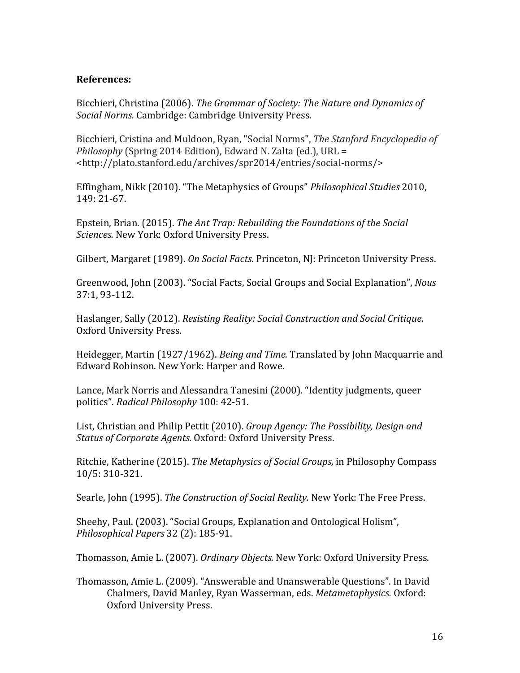# **References:**

Bicchieri, Christina (2006). *The Grammar of Society: The Nature and Dynamics of* Social Norms. Cambridge: Cambridge University Press.

Bicchieri, Cristina and Muldoon, Ryan, "Social Norms", *The Stanford Encyclopedia of Philosophy* (Spring 2014 Edition), Edward N. Zalta (ed.), URL = <http://plato.stanford.edu/archives/spr2014/entries/social-norms/>

Effingham, Nikk (2010). "The Metaphysics of Groups" *Philosophical Studies* 2010, 149: 21-67.

Epstein, Brian. (2015). *The Ant Trap: Rebuilding the Foundations of the Social Sciences.* New York: Oxford University Press.

Gilbert, Margaret (1989). *On Social Facts.* Princeton, NJ: Princeton University Press.

Greenwood, John (2003). "Social Facts, Social Groups and Social Explanation", *Nous* 37:1, 93-112.

Haslanger, Sally (2012). *Resisting Reality: Social Construction and Social Critique.* Oxford University Press.

Heidegger, Martin (1927/1962). *Being and Time*. Translated by John Macquarrie and Edward Robinson. New York: Harper and Rowe.

Lance, Mark Norris and Alessandra Tanesini (2000). "Identity judgments, queer politics". *Radical Philosophy* 100: 42-51.

List, Christian and Philip Pettit (2010). *Group Agency: The Possibility, Design and* Status of Corporate Agents. Oxford: Oxford University Press.

Ritchie, Katherine (2015). *The Metaphysics of Social Groups*, in Philosophy Compass 10/5: 310-321.

Searle, John (1995). *The Construction of Social Reality.* New York: The Free Press.

Sheehy, Paul. (2003). "Social Groups, Explanation and Ontological Holism", *Philosophical Papers* 32 (2): 185-91.

Thomasson, Amie L. (2007). *Ordinary Objects.* New York: Oxford University Press.

Thomasson, Amie L. (2009). "Answerable and Unanswerable Questions". In David Chalmers, David Manley, Ryan Wasserman, eds. Metametaphysics. Oxford: Oxford University Press.